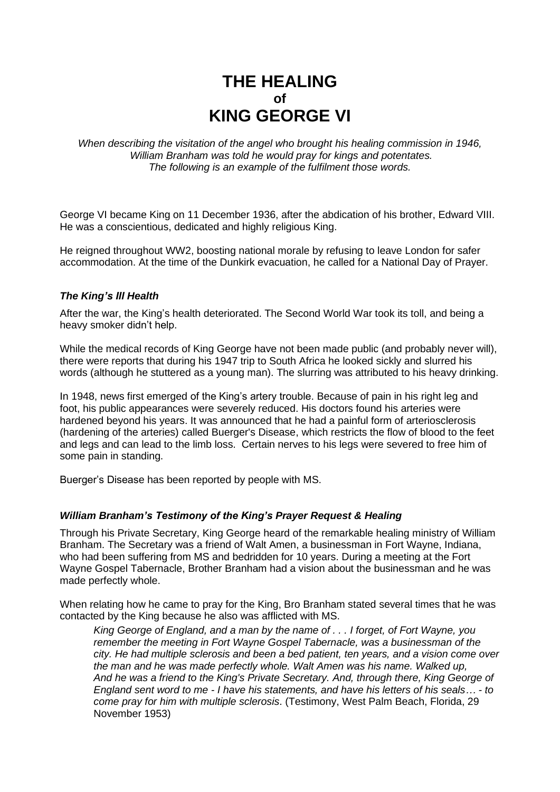# **THE HEALING of KING GEORGE VI**

*When describing the visitation of the angel who brought his healing commission in 1946, William Branham was told he would pray for kings and potentates. The following is an example of the fulfilment those words.*

George VI became King on 11 December 1936, after the abdication of his brother, Edward VIII. He was a conscientious, dedicated and highly religious King.

He reigned throughout WW2, boosting national morale by refusing to leave London for safer accommodation. At the time of the Dunkirk evacuation, he called for a National Day of Prayer.

## *The King's Ill Health*

After the war, the King's health deteriorated. The Second World War took its toll, and being a heavy smoker didn't help.

While the medical records of King George have not been made public (and probably never will), there were reports that during his 1947 trip to South Africa he looked sickly and slurred his words (although he stuttered as a young man). The slurring was attributed to his heavy drinking.

In 1948, news first emerged of the King's artery trouble. Because of pain in his right leg and foot, his public appearances were severely reduced. His doctors found his arteries were hardened beyond his years. It was announced that he had a painful form of arteriosclerosis (hardening of the arteries) called Buerger's Disease, which restricts the flow of blood to the feet and legs and can lead to the limb loss. Certain nerves to his legs were severed to free him of some pain in standing.

Buerger's Disease has been reported by people with MS.

### *William Branham's Testimony of the King's Prayer Request & Healing*

Through his Private Secretary, King George heard of the remarkable healing ministry of William Branham. The Secretary was a friend of Walt Amen, a businessman in Fort Wayne, Indiana, who had been suffering from MS and bedridden for 10 years. During a meeting at the Fort Wayne Gospel Tabernacle, Brother Branham had a vision about the businessman and he was made perfectly whole.

When relating how he came to pray for the King, Bro Branham stated several times that he was contacted by the King because he also was afflicted with MS.

*King George of England, and a man by the name of . . . I forget, of Fort Wayne, you remember the meeting in Fort Wayne Gospel Tabernacle, was a businessman of the city. He had multiple sclerosis and been a bed patient, ten years, and a vision come over the man and he was made perfectly whole. Walt Amen was his name. Walked up, And he was a friend to the King's Private Secretary. And, through there, King George of England sent word to me - I have his statements, and have his letters of his seals… - to come pray for him with multiple sclerosis*. (Testimony, West Palm Beach, Florida, 29 November 1953)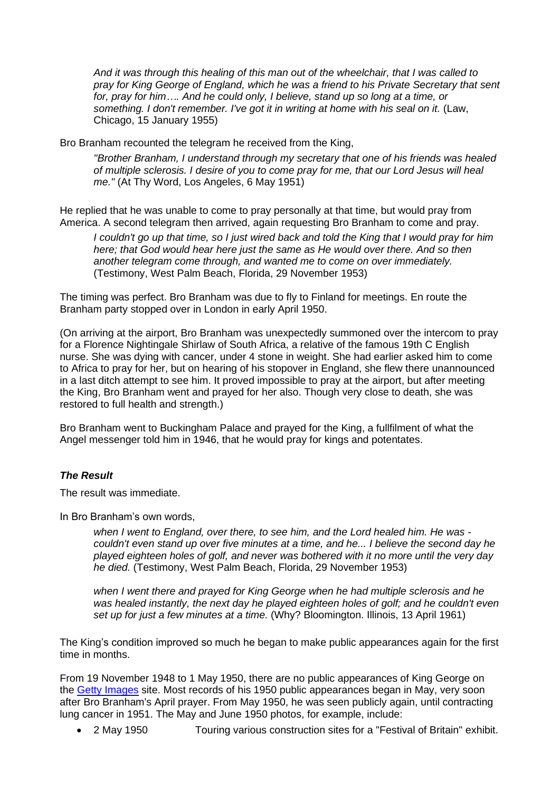*And it was through this healing of this man out of the wheelchair, that I was called to pray for King George of England, which he was a friend to his Private Secretary that sent for, pray for him…. And he could only, I believe, stand up so long at a time, or something. I don't remember. I've got it in writing at home with his seal on it.* (Law, Chicago, 15 January 1955)

Bro Branham recounted the telegram he received from the King,

*"Brother Branham, I understand through my secretary that one of his friends was healed of multiple sclerosis. I desire of you to come pray for me, that our Lord Jesus will heal me."* (At Thy Word, Los Angeles, 6 May 1951)

He replied that he was unable to come to pray personally at that time, but would pray from America. A second telegram then arrived, again requesting Bro Branham to come and pray.

*I couldn't go up that time, so I just wired back and told the King that I would pray for him here; that God would hear here just the same as He would over there. And so then another telegram come through, and wanted me to come on over immediately.*  (Testimony, West Palm Beach, Florida, 29 November 1953)

The timing was perfect. Bro Branham was due to fly to Finland for meetings. En route the Branham party stopped over in London in early April 1950.

(On arriving at the airport, Bro Branham was unexpectedly summoned over the intercom to pray for a Florence Nightingale Shirlaw of South Africa, a relative of the famous 19th C English nurse. She was dying with cancer, under 4 stone in weight. She had earlier asked him to come to Africa to pray for her, but on hearing of his stopover in England, she flew there unannounced in a last ditch attempt to see him. It proved impossible to pray at the airport, but after meeting the King, Bro Branham went and prayed for her also. Though very close to death, she was restored to full health and strength.)

Bro Branham went to Buckingham Palace and prayed for the King, a fullfilment of what the Angel messenger told him in 1946, that he would pray for kings and potentates.

## *The Result*

The result was immediate.

In Bro Branham's own words,

*when I went to England, over there, to see him, and the Lord healed him. He was couldn't even stand up over five minutes at a time, and he... I believe the second day he played eighteen holes of golf, and never was bothered with it no more until the very day he died.* (Testimony, West Palm Beach, Florida, 29 November 1953)

*when I went there and prayed for King George when he had multiple sclerosis and he was healed instantly, the next day he played eighteen holes of golf; and he couldn't even set up for just a few minutes at a time.* (Why? Bloomington. Illinois, 13 April 1961)

The King's condition improved so much he began to make public appearances again for the first time in months.

From 19 November 1948 to 1 May 1950, there are no public appearances of King George on the [Getty Images](http://editorial.gettyimages.com/Search/Search.aspx?mlt=3351644#2) site. Most records of his 1950 public appearances began in May, very soon after Bro Branham's April prayer. From May 1950, he was seen publicly again, until contracting lung cancer in 1951. The May and June 1950 photos, for example, include:

• 2 May 1950 Touring various construction sites for a "Festival of Britain" exhibit.